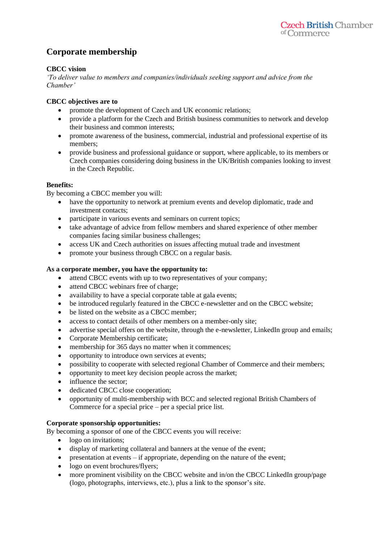# **Corporate membership**

## **CBCC vision**

*'To deliver value to members and companies/individuals seeking support and advice from the Chamber'*

## **CBCC objectives are to**

- promote the development of Czech and UK economic relations;
- provide a platform for the Czech and British business communities to network and develop their business and common interests;
- promote awareness of the business, commercial, industrial and professional expertise of its members;
- provide business and professional guidance or support, where applicable, to its members or Czech companies considering doing business in the UK/British companies looking to invest in the Czech Republic.

# **Benefits:**

By becoming a CBCC member you will:

- have the opportunity to network at premium events and develop diplomatic, trade and investment contacts;
- participate in various events and seminars on current topics;
- take advantage of advice from fellow members and shared experience of other member companies facing similar business challenges;
- access UK and Czech authorities on issues affecting mutual trade and investment
- promote your business through CBCC on a regular basis.

# **As a corporate member, you have the opportunity to:**

- attend CBCC events with up to two representatives of your company;
- attend CBCC webinars free of charge;
- availability to have a special corporate table at gala events:
- be introduced regularly featured in the CBCC e-newsletter and on the CBCC website;
- be listed on the website as a CBCC member;
- access to contact details of other members on a member-only site;
- advertise special offers on the website, through the e-newsletter, LinkedIn group and emails;
- Corporate Membership certificate;
- membership for 365 days no matter when it commences;
- opportunity to introduce own services at events;
- possibility to cooperate with selected regional Chamber of Commerce and their members;
- opportunity to meet key decision people across the market;
- influence the sector:
- dedicated CBCC close cooperation:
- opportunity of multi-membership with BCC and selected regional British Chambers of Commerce for a special price – per a special price list.

#### **Corporate sponsorship opportunities:**

By becoming a sponsor of one of the CBCC events you will receive:

- logo on invitations;
- display of marketing collateral and banners at the venue of the event;
- presentation at events if appropriate, depending on the nature of the event;
- logo on event brochures/flyers;
- more prominent visibility on the CBCC website and in/on the CBCC LinkedIn group/page (logo, photographs, interviews, etc.), plus a link to the sponsor's site.